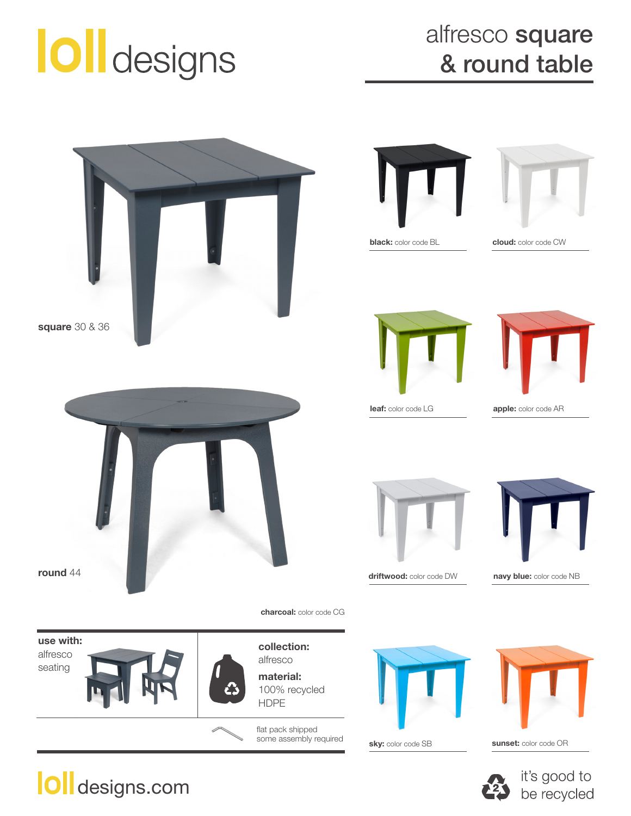## **O**ll designs

## alfresco square & round table





**black:** color code BL



**cloud:** color code CW





**leaf:** color code LG **apple:** color code AR



**round** 44



**driftwood:** color code DW **navy blue:** color code NB

**use with:**  alfresco seating



alfresco **material:** 100% recycled HDPE

**charcoal:** color code CG

flat pack shipped some assembly required



**sky:** color code SB



**sunset:** color code OR





designs.com